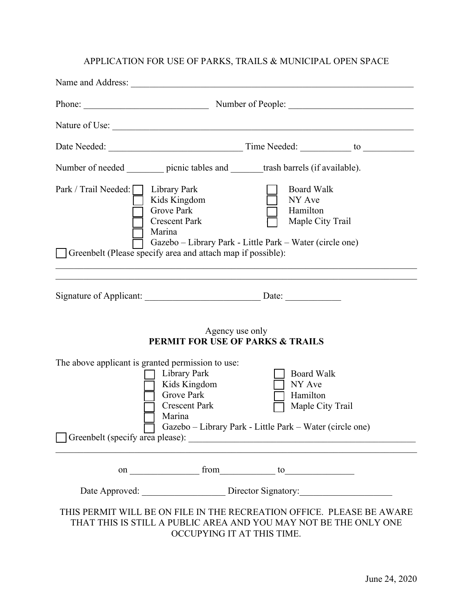## APPLICATION FOR USE OF PARKS, TRAILS & MUNICIPAL OPEN SPACE

|                                                                                                                                                                                                                                                                                                      | Phone: Number of People:                                                                                                                                                                             |                                                             |  |
|------------------------------------------------------------------------------------------------------------------------------------------------------------------------------------------------------------------------------------------------------------------------------------------------------|------------------------------------------------------------------------------------------------------------------------------------------------------------------------------------------------------|-------------------------------------------------------------|--|
|                                                                                                                                                                                                                                                                                                      |                                                                                                                                                                                                      |                                                             |  |
|                                                                                                                                                                                                                                                                                                      |                                                                                                                                                                                                      |                                                             |  |
|                                                                                                                                                                                                                                                                                                      | Number of needed _________ picnic tables and _______ trash barrels (if available).                                                                                                                   |                                                             |  |
| Park / Trail Needed:   Library Park<br><b>Board Walk</b><br>NY Ave<br>Kids Kingdom<br><b>Grove Park</b><br>Hamilton<br>Maple City Trail<br><b>Crescent Park</b><br>Marina<br>Gazebo – Library Park - Little Park – Water (circle one)<br>Greenbelt (Please specify area and attach map if possible): |                                                                                                                                                                                                      |                                                             |  |
|                                                                                                                                                                                                                                                                                                      | Agency use only<br><b>PERMIT FOR USE OF PARKS &amp; TRAILS</b>                                                                                                                                       |                                                             |  |
|                                                                                                                                                                                                                                                                                                      | The above applicant is granted permission to use:<br>Library Park<br>Kids Kingdom<br><b>Grove Park</b><br><b>Crescent Park</b><br>Marina<br>Gazebo – Library Park - Little Park – Water (circle one) | <b>Board Walk</b><br>NY Ave<br>Hamilton<br>Maple City Trail |  |
|                                                                                                                                                                                                                                                                                                      |                                                                                                                                                                                                      |                                                             |  |
|                                                                                                                                                                                                                                                                                                      | Date Approved: Director Signatory:                                                                                                                                                                   |                                                             |  |
|                                                                                                                                                                                                                                                                                                      | THIS PERMIT WILL BE ON FILE IN THE RECREATION OFFICE. PLEASE BE AWARE<br>THAT THIS IS STILL A PUBLIC AREA AND YOU MAY NOT BE THE ONLY ONE<br>OCCUPYING IT AT THIS TIME.                              |                                                             |  |